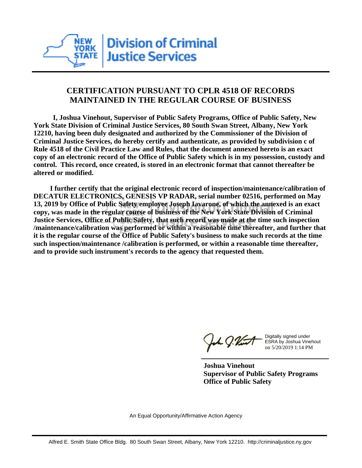

## **CERTIFICATION PURSUANT TO CPLR 4518 OF RECORDS MAINTAINED IN THE REGULAR COURSE OF BUSINESS**

 **I, Joshua Vinehout, Supervisor of Public Safety Programs, Office of Public Safety, New York State Division of Criminal Justice Services, 80 South Swan Street, Albany, New York 12210, having been duly designated and authorized by the Commissioner of the Division of Criminal Justice Services, do hereby certify and authenticate, as provided by subdivision c of Rule 4518 of the Civil Practice Law and Rules, that the document annexed hereto is an exact copy of an electronic record of the Office of Public Safety which is in my possession, custody and control. This record, once created, is stored in an electronic format that cannot thereafter be altered or modified.**

 **I further certify that the original electronic record of inspection/maintenance/calibration of DECATUR ELECTRONICS, GENESIS VP RADAR, serial number 02516, performed on May 13, 2019 by Office of Public Safety employee Joseph Iavarone, of which the annexed is an exact copy, was made in the regular course of business of the New York State Division of Criminal Justice Services, Office of Public Safety, that such record was made at the time such inspection /maintenance/calibration was performed or within a reasonable time thereafter, and further that it is the regular course of the Office of Public Safety's business to make such records at the time such inspection/maintenance /calibration is performed, or within a reasonable time thereafter, and to provide such instrument's records to the agency that requested them.**

the J. Vint

Digitally signed under ESRA by Joshua Vinehout on 5/20/2019 1:14 PM

**Joshua Vinehout Supervisor of Public Safety Programs Office of Public Safety**

An Equal Opportunity/Affirmative Action Agency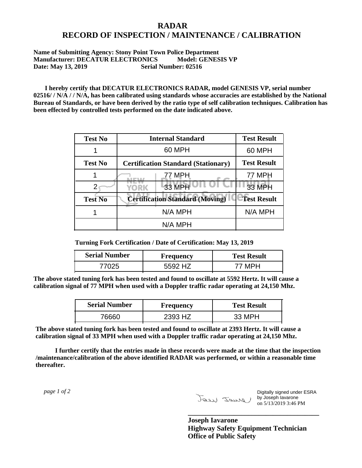## **RADAR RECORD OF INSPECTION / MAINTENANCE / CALIBRATION**

## **Name of Submitting Agency: Stony Point Town Police Department Manufacturer: DECATUR ELECTRONICS Model: GENESIS VP Date: May 13, 2019 Serial Number: 02516**

 **I hereby certify that DECATUR ELECTRONICS RADAR, model GENESIS VP, serial number 02516/ / N/A / / N/A, has been calibrated using standards whose accuracies are established by the National Bureau of Standards, or have been derived by the ratio type of self calibration techniques. Calibration has been effected by controlled tests performed on the date indicated above.**

| <b>Test No</b> | <b>Internal Standard</b>                   | <b>Test Result</b> |
|----------------|--------------------------------------------|--------------------|
|                | 60 MPH                                     | 60 MPH             |
| <b>Test No</b> | <b>Certification Standard (Stationary)</b> | <b>Test Result</b> |
|                | 77 MPH                                     | 77 MPH             |
|                | 33 MPH<br><b>YORK</b>                      | <b>33 MPH</b>      |
| <b>Test No</b> | <b>Certification Standard (Moving)</b>     | <b>Test Result</b> |
|                | N/A MPH                                    | N/A MPH            |
|                | N/A MPH                                    |                    |

**Turning Fork Certification / Date of Certification: May 13, 2019**

| <b>Serial Number</b> | <b>Frequency</b> | <b>Test Result</b> |
|----------------------|------------------|--------------------|
|                      | 47<br>わわひ ノ      |                    |

**The above stated tuning fork has been tested and found to oscillate at 5592 Hertz. It will cause a calibration signal of 77 MPH when used with a Doppler traffic radar operating at 24,150 Mhz.**

| <b>Serial Number</b> | <b>Frequency</b> | <b>Test Result</b> |
|----------------------|------------------|--------------------|
| 76660                | 2393 HZ          | 33 MPH             |

**The above stated tuning fork has been tested and found to oscillate at 2393 Hertz. It will cause a calibration signal of 33 MPH when used with a Doppler traffic radar operating at 24,150 Mhz.**

 **I further certify that the entries made in these records were made at the time that the inspection /maintenance/calibration of the above identified RADAR was performed, or within a reasonable time thereafter.**

 *page 1 of 2* 

Digitally signed under ESRA by Joseph Iavarone on 5/13/2019 3:46 PM

**Joseph Iavarone Highway Safety Equipment Technician Office of Public Safety**

**\_\_\_\_\_\_\_\_\_\_\_\_\_\_\_\_\_\_\_\_\_\_\_\_\_\_\_\_\_\_\_\_\_\_\_\_\_**